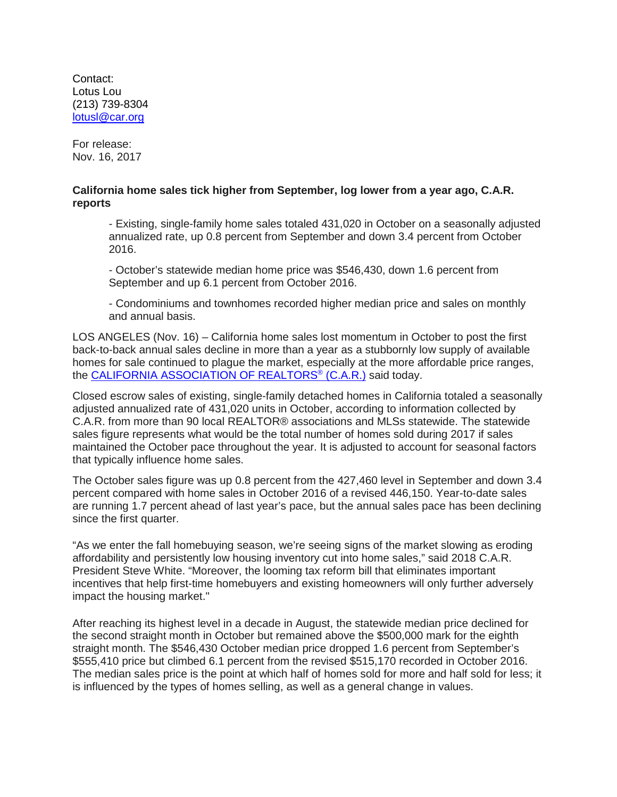Contact: Lotus Lou (213) 739-8304 [lotusl@car.org](mailto:lotusl@car.org)

For release: Nov. 16, 2017

## **California home sales tick higher from September, log lower from a year ago, C.A.R. reports**

- Existing, single-family home sales totaled 431,020 in October on a seasonally adjusted annualized rate, up 0.8 percent from September and down 3.4 percent from October 2016.

- October's statewide median home price was \$546,430, down 1.6 percent from September and up 6.1 percent from October 2016.

- Condominiums and townhomes recorded higher median price and sales on monthly and annual basis.

LOS ANGELES (Nov. 16) – California home sales lost momentum in October to post the first back-to-back annual sales decline in more than a year as a stubbornly low supply of available homes for sale continued to plague the market, especially at the more affordable price ranges, the [CALIFORNIA ASSOCIATION OF REALTORS®](http://www.car.org/) (C.A.R.) said today.

Closed escrow sales of existing, single-family detached homes in California totaled a seasonally adjusted annualized rate of 431,020 units in October, according to information collected by C.A.R. from more than 90 local REALTOR® associations and MLSs statewide. The statewide sales figure represents what would be the total number of homes sold during 2017 if sales maintained the October pace throughout the year. It is adjusted to account for seasonal factors that typically influence home sales.

The October sales figure was up 0.8 percent from the 427,460 level in September and down 3.4 percent compared with home sales in October 2016 of a revised 446,150. Year-to-date sales are running 1.7 percent ahead of last year's pace, but the annual sales pace has been declining since the first quarter.

"As we enter the fall homebuying season, we're seeing signs of the market slowing as eroding affordability and persistently low housing inventory cut into home sales," said 2018 C.A.R. President Steve White. "Moreover, the looming tax reform bill that eliminates important incentives that help first-time homebuyers and existing homeowners will only further adversely impact the housing market."

After reaching its highest level in a decade in August, the statewide median price declined for the second straight month in October but remained above the \$500,000 mark for the eighth straight month. The \$546,430 October median price dropped 1.6 percent from September's \$555,410 price but climbed 6.1 percent from the revised \$515,170 recorded in October 2016. The median sales price is the point at which half of homes sold for more and half sold for less; it is influenced by the types of homes selling, as well as a general change in values.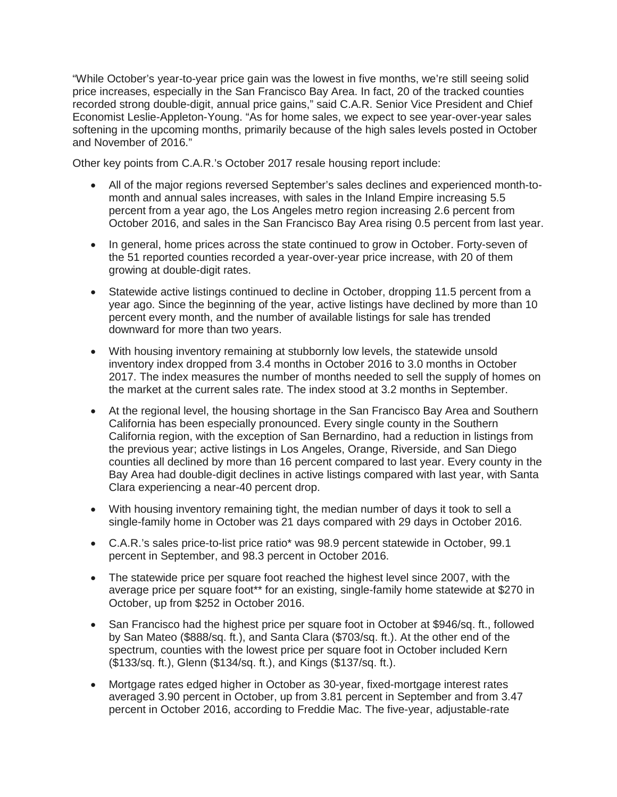"While October's year-to-year price gain was the lowest in five months, we're still seeing solid price increases, especially in the San Francisco Bay Area. In fact, 20 of the tracked counties recorded strong double-digit, annual price gains," said C.A.R. Senior Vice President and Chief Economist Leslie-Appleton-Young. "As for home sales, we expect to see year-over-year sales softening in the upcoming months, primarily because of the high sales levels posted in October and November of 2016."

Other key points from C.A.R.'s October 2017 resale housing report include:

- All of the major regions reversed September's sales declines and experienced month-tomonth and annual sales increases, with sales in the Inland Empire increasing 5.5 percent from a year ago, the Los Angeles metro region increasing 2.6 percent from October 2016, and sales in the San Francisco Bay Area rising 0.5 percent from last year.
- In general, home prices across the state continued to grow in October. Forty-seven of the 51 reported counties recorded a year-over-year price increase, with 20 of them growing at double-digit rates.
- Statewide active listings continued to decline in October, dropping 11.5 percent from a year ago. Since the beginning of the year, active listings have declined by more than 10 percent every month, and the number of available listings for sale has trended downward for more than two years.
- With housing inventory remaining at stubbornly low levels, the statewide unsold inventory index dropped from 3.4 months in October 2016 to 3.0 months in October 2017. The index measures the number of months needed to sell the supply of homes on the market at the current sales rate. The index stood at 3.2 months in September.
- At the regional level, the housing shortage in the San Francisco Bay Area and Southern California has been especially pronounced. Every single county in the Southern California region, with the exception of San Bernardino, had a reduction in listings from the previous year; active listings in Los Angeles, Orange, Riverside, and San Diego counties all declined by more than 16 percent compared to last year. Every county in the Bay Area had double-digit declines in active listings compared with last year, with Santa Clara experiencing a near-40 percent drop.
- With housing inventory remaining tight, the median number of days it took to sell a single-family home in October was 21 days compared with 29 days in October 2016.
- C.A.R.'s sales price-to-list price ratio\* was 98.9 percent statewide in October, 99.1 percent in September, and 98.3 percent in October 2016.
- The statewide price per square foot reached the highest level since 2007, with the average price per square foot\*\* for an existing, single-family home statewide at \$270 in October, up from \$252 in October 2016.
- San Francisco had the highest price per square foot in October at \$946/sq. ft., followed by San Mateo (\$888/sq. ft.), and Santa Clara (\$703/sq. ft.). At the other end of the spectrum, counties with the lowest price per square foot in October included Kern (\$133/sq. ft.), Glenn (\$134/sq. ft.), and Kings (\$137/sq. ft.).
- Mortgage rates edged higher in October as 30-year, fixed-mortgage interest rates averaged 3.90 percent in October, up from 3.81 percent in September and from 3.47 percent in October 2016, according to Freddie Mac. The five-year, adjustable-rate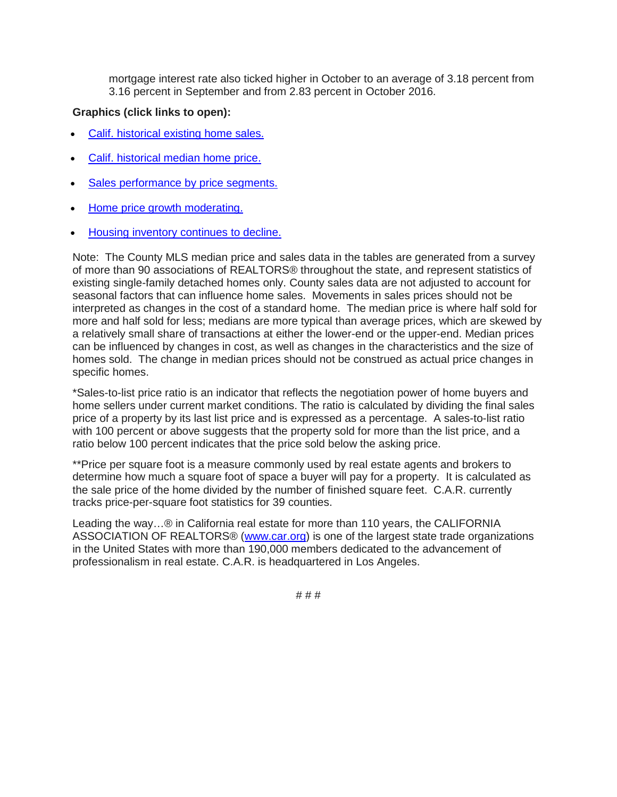mortgage interest rate also ticked higher in October to an average of 3.18 percent from 3.16 percent in September and from 2.83 percent in October 2016.

## **Graphics (click links to open):**

- [Calif. historical existing home sales.](https://www.car.org/-/media/CAR/Documents/Your%20CAR/Powerpoint/News%20releases/Oct2017sales1)
- [Calif. historical median home price.](https://www.car.org/-/media/CAR/Documents/Your%20CAR/Powerpoint/News%20releases/Oct2017sales2)
- [Sales performance by price segments.](https://www.car.org/-/media/CAR/Documents/Your%20CAR/Powerpoint/News%20releases/Oct2017sales3)
- [Home price growth moderating.](https://www.car.org/-/media/CAR/Documents/Your%20CAR/Powerpoint/News%20releases/Oct2017sales4)
- [Housing inventory continues to decline.](https://www.car.org/-/media/CAR/Documents/Your%20CAR/Powerpoint/News%20releases/Oct2017sales5)

Note: The County MLS median price and sales data in the tables are generated from a survey of more than 90 associations of REALTORS® throughout the state, and represent statistics of existing single-family detached homes only. County sales data are not adjusted to account for seasonal factors that can influence home sales. Movements in sales prices should not be interpreted as changes in the cost of a standard home. The median price is where half sold for more and half sold for less; medians are more typical than average prices, which are skewed by a relatively small share of transactions at either the lower-end or the upper-end. Median prices can be influenced by changes in cost, as well as changes in the characteristics and the size of homes sold. The change in median prices should not be construed as actual price changes in specific homes.

\*Sales-to-list price ratio is an indicator that reflects the negotiation power of home buyers and home sellers under current market conditions. The ratio is calculated by dividing the final sales price of a property by its last list price and is expressed as a percentage. A sales-to-list ratio with 100 percent or above suggests that the property sold for more than the list price, and a ratio below 100 percent indicates that the price sold below the asking price.

\*\*Price per square foot is a measure commonly used by real estate agents and brokers to determine how much a square foot of space a buyer will pay for a property. It is calculated as the sale price of the home divided by the number of finished square feet. C.A.R. currently tracks price-per-square foot statistics for 39 counties.

Leading the way…® in California real estate for more than 110 years, the CALIFORNIA ASSOCIATION OF REALTORS® [\(www.car.org\)](http://www.car.org/) is one of the largest state trade organizations in the United States with more than 190,000 members dedicated to the advancement of professionalism in real estate. C.A.R. is headquartered in Los Angeles.

# # #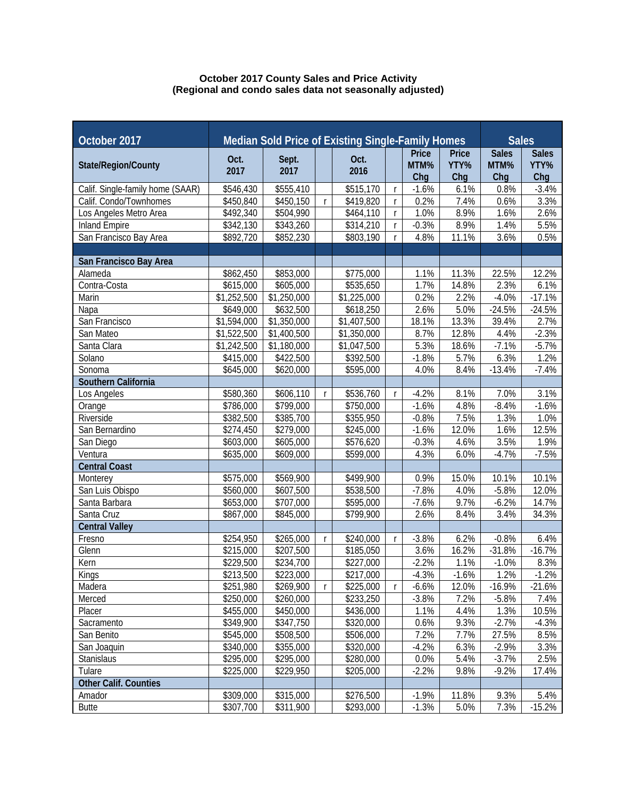## **October 2017 County Sales and Price Activity (Regional and condo sales data not seasonally adjusted)**

| October 2017                     | Median Sold Price of Existing Single-Family Homes |               |              |              |              | <b>Sales</b>         |               |                      |                      |
|----------------------------------|---------------------------------------------------|---------------|--------------|--------------|--------------|----------------------|---------------|----------------------|----------------------|
| State/Region/County              | Oct.<br>2017                                      | Sept.<br>2017 |              | Oct.<br>2016 |              | <b>Price</b><br>MTM% | Price<br>YTY% | <b>Sales</b><br>MTM% | <b>Sales</b><br>YTY% |
|                                  |                                                   |               |              |              |              | Chg                  | Chg           | Chg                  | Chg                  |
| Calif. Single-family home (SAAR) | \$546,430                                         | \$555,410     |              | \$515,170    | $\mathsf{r}$ | $-1.6%$              | 6.1%          | 0.8%                 | $-3.4%$              |
| Calif. Condo/Townhomes           | \$450,840                                         | \$450,150     | r            | \$419,820    | $\mathsf{r}$ | 0.2%                 | 7.4%          | 0.6%                 | 3.3%                 |
| Los Angeles Metro Area           | \$492,340                                         | \$504,990     |              | \$464,110    | $\mathsf{r}$ | 1.0%                 | 8.9%          | 1.6%                 | 2.6%                 |
| <b>Inland Empire</b>             | \$342,130                                         | \$343,260     |              | \$314,210    | $\mathsf{r}$ | $-0.3%$              | 8.9%          | 1.4%                 | 5.5%                 |
| San Francisco Bay Area           | \$892,720                                         | \$852,230     |              | \$803,190    |              | 4.8%                 | 11.1%         | 3.6%                 | 0.5%                 |
|                                  |                                                   |               |              |              |              |                      |               |                      |                      |
| San Francisco Bay Area           |                                                   |               |              |              |              |                      |               |                      |                      |
| Alameda                          | \$862,450                                         | \$853,000     |              | \$775,000    |              | 1.1%                 | 11.3%         | 22.5%                | 12.2%                |
| Contra-Costa                     | \$615,000                                         | \$605,000     |              | \$535,650    |              | 1.7%                 | 14.8%         | 2.3%                 | 6.1%                 |
| Marin                            | \$1,252,500                                       | \$1,250,000   |              | \$1,225,000  |              | 0.2%                 | 2.2%          | $-4.0%$              | $-17.1%$             |
| Napa                             | \$649,000                                         | \$632,500     |              | \$618,250    |              | 2.6%                 | 5.0%          | $-24.5%$             | $-24.5%$             |
| San Francisco                    | \$1,594,000                                       | \$1,350,000   |              | \$1,407,500  |              | 18.1%                | 13.3%         | 39.4%                | 2.7%                 |
| San Mateo                        | \$1,522,500                                       | \$1,400,500   |              | \$1,350,000  |              | 8.7%                 | 12.8%         | 4.4%                 | $-2.3%$              |
| Santa Clara                      | \$1,242,500                                       | \$1,180,000   |              | \$1,047,500  |              | 5.3%                 | 18.6%         | $-7.1%$              | $-5.7%$              |
| Solano                           | \$415,000                                         | \$422,500     |              | \$392,500    |              | $-1.8%$              | 5.7%          | 6.3%                 | 1.2%                 |
| Sonoma                           | \$645,000                                         | \$620,000     |              | \$595,000    |              | 4.0%                 | 8.4%          | $-13.4%$             | $-7.4%$              |
| Southern California              |                                                   |               |              |              |              |                      |               |                      |                      |
| Los Angeles                      | \$580,360                                         | \$606,110     | r            | \$536,760    | $\mathsf{r}$ | $-4.2%$              | 8.1%          | 7.0%                 | 3.1%                 |
| Orange                           | \$786,000                                         | \$799,000     |              | \$750,000    |              | $-1.6%$              | 4.8%          | $-8.4%$              | $-1.6%$              |
| Riverside                        | $\overline{$}382,500$                             | \$385,700     |              | \$355,950    |              | $-0.8%$              | 7.5%          | 1.3%                 | 1.0%                 |
| San Bernardino                   | \$274,450                                         | \$279,000     |              | \$245,000    |              | $-1.6%$              | 12.0%         | 1.6%                 | 12.5%                |
| San Diego                        | \$603,000                                         | \$605,000     |              | \$576,620    |              | $-0.3%$              | 4.6%          | 3.5%                 | 1.9%                 |
| Ventura                          | \$635,000                                         | \$609,000     |              | \$599,000    |              | 4.3%                 | 6.0%          | $-4.7%$              | $-7.5%$              |
| <b>Central Coast</b>             |                                                   |               |              |              |              |                      |               |                      |                      |
| Monterey                         | \$575,000                                         | \$569,900     |              | \$499,900    |              | 0.9%                 | 15.0%         | 10.1%                | 10.1%                |
| San Luis Obispo                  | \$560,000                                         | \$607,500     |              | \$538,500    |              | $-7.8%$              | 4.0%          | $-5.8%$              | 12.0%                |
| Santa Barbara                    | \$653,000                                         | \$707,000     |              | \$595,000    |              | $-7.6%$              | 9.7%          | $-6.2%$              | 14.7%                |
| Santa Cruz                       | \$867,000                                         | \$845,000     |              | \$799,900    |              | 2.6%                 | 8.4%          | 3.4%                 | 34.3%                |
| <b>Central Valley</b>            |                                                   |               |              |              |              |                      |               |                      |                      |
| Fresno                           | \$254,950                                         | \$265,000     | $\mathsf{r}$ | \$240,000    | $\mathsf{r}$ | $-3.8%$              | 6.2%          | $-0.8%$              | 6.4%                 |
| Glenn                            | \$215,000                                         | \$207,500     |              | \$185,050    |              | 3.6%                 | 16.2%         | $-31.8%$             | $-16.7%$             |
| Kern                             | \$229,500                                         | \$234,700     |              | \$227,000    |              | $-2.2%$              | 1.1%          | $-1.0%$              | 8.3%                 |
| Kings                            | \$213,500                                         | \$223,000     |              | \$217,000    |              | $-4.3%$              | $-1.6%$       | 1.2%                 | $-1.2%$              |
| Madera                           | \$251,980                                         | \$269,900     | $\mathsf{r}$ | \$225,000    | $\mathsf{r}$ | $-6.6%$              | 12.0%         | $-16.9%$             | $-21.6%$             |
| Merced                           | \$250,000                                         | \$260,000     |              | \$233,250    |              | $-3.8%$              | 7.2%          | $-5.8%$              | 7.4%                 |
| Placer                           | \$455,000                                         | \$450,000     |              | \$436,000    |              | 1.1%                 | 4.4%          | 1.3%                 | 10.5%                |
| Sacramento                       | \$349,900                                         | \$347,750     |              | \$320,000    |              | 0.6%                 | 9.3%          | $-2.7%$              | $-4.3%$              |
| San Benito                       | \$545,000                                         | \$508,500     |              | \$506,000    |              | 7.2%<br>7.7%         |               | 27.5%                | 8.5%                 |
| San Joaquin                      | \$340,000                                         | \$355,000     |              | \$320,000    |              | $-4.2%$              | 6.3%          | $-2.9%$              | 3.3%                 |
| Stanislaus                       | \$295,000                                         | \$295,000     |              | \$280,000    |              | 0.0%                 | 5.4%          | $-3.7%$              | 2.5%                 |
| Tulare                           | \$225,000                                         | \$229,950     |              | \$205,000    |              | $-2.2%$              | 9.8%          | $-9.2%$              | 17.4%                |
| <b>Other Calif. Counties</b>     |                                                   |               |              |              |              |                      |               |                      |                      |
| Amador                           | \$309,000                                         | \$315,000     |              | \$276,500    |              | $-1.9%$              | 11.8%         | 9.3%                 | 5.4%                 |
| <b>Butte</b>                     | \$307,700                                         | \$311,900     |              | \$293,000    |              | $-1.3%$              | 5.0%          | 7.3%                 | $-15.2%$             |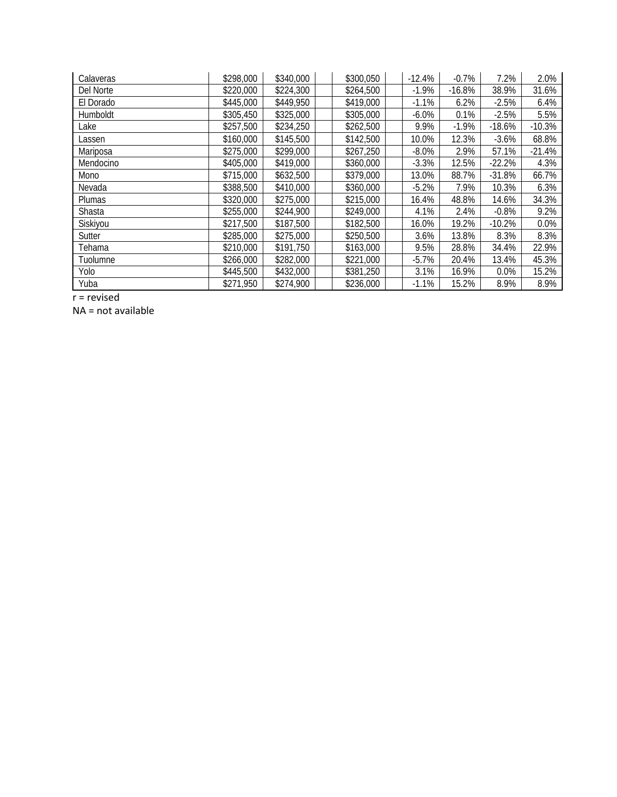| Calaveras     | \$298,000 | \$340,000 | \$300,050 | $-12.4%$ | $-0.7%$  | 7.2%     | 2.0%     |
|---------------|-----------|-----------|-----------|----------|----------|----------|----------|
| Del Norte     | \$220,000 | \$224,300 | \$264,500 | $-1.9%$  | $-16.8%$ | 38.9%    | 31.6%    |
| El Dorado     | \$445,000 | \$449,950 | \$419,000 | $-1.1%$  | 6.2%     | $-2.5%$  | 6.4%     |
| Humboldt      | \$305,450 | \$325,000 | \$305,000 | $-6.0\%$ | 0.1%     | $-2.5%$  | 5.5%     |
| Lake          | \$257,500 | \$234,250 | \$262,500 | 9.9%     | $-1.9%$  | $-18.6%$ | $-10.3%$ |
| Lassen        | \$160,000 | \$145,500 | \$142,500 | 10.0%    | 12.3%    | $-3.6%$  | 68.8%    |
| Mariposa      | \$275,000 | \$299,000 | \$267,250 | $-8.0\%$ | 2.9%     | 57.1%    | $-21.4%$ |
| Mendocino     | \$405,000 | \$419,000 | \$360,000 | $-3.3%$  | 12.5%    | $-22.2%$ | 4.3%     |
| Mono          | \$715,000 | \$632,500 | \$379,000 | 13.0%    | 88.7%    | $-31.8%$ | 66.7%    |
| Nevada        | \$388,500 | \$410,000 | \$360,000 | $-5.2%$  | 7.9%     | 10.3%    | 6.3%     |
| <b>Plumas</b> | \$320,000 | \$275,000 | \$215,000 | 16.4%    | 48.8%    | 14.6%    | 34.3%    |
| Shasta        | \$255,000 | \$244,900 | \$249,000 | 4.1%     | 2.4%     | $-0.8%$  | 9.2%     |
| Siskiyou      | \$217,500 | \$187,500 | \$182,500 | 16.0%    | 19.2%    | $-10.2%$ | 0.0%     |
| Sutter        | \$285,000 | \$275,000 | \$250,500 | 3.6%     | 13.8%    | 8.3%     | 8.3%     |
| Tehama        | \$210,000 | \$191,750 | \$163,000 | 9.5%     | 28.8%    | 34.4%    | 22.9%    |
| Tuolumne      | \$266,000 | \$282,000 | \$221,000 | $-5.7%$  | 20.4%    | 13.4%    | 45.3%    |
| Yolo          | \$445,500 | \$432,000 | \$381,250 | 3.1%     | 16.9%    | 0.0%     | 15.2%    |
| Yuba          | \$271,950 | \$274,900 | \$236,000 | $-1.1%$  | 15.2%    | 8.9%     | 8.9%     |

r = revised

NA = not available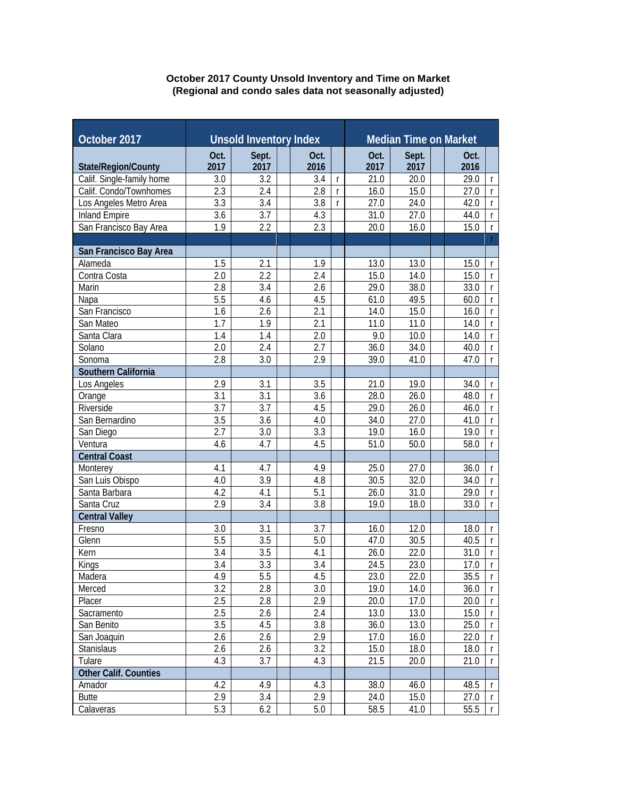## **October 2017 County Unsold Inventory and Time on Market (Regional and condo sales data not seasonally adjusted)**

| October 2017                    | <b>Unsold Inventory Index</b> |                  |  |              | <b>Median Time on Market</b> |              |               |  |                                              |  |
|---------------------------------|-------------------------------|------------------|--|--------------|------------------------------|--------------|---------------|--|----------------------------------------------|--|
|                                 |                               |                  |  |              |                              |              |               |  |                                              |  |
| State/Region/County             | Oct.<br>2017                  | Sept.<br>2017    |  | Oct.<br>2016 |                              | Oct.<br>2017 | Sept.<br>2017 |  | Oct.<br>2016                                 |  |
| Calif. Single-family home       | 3.0                           | 3.2              |  | 3.4          | $\mathsf{r}$                 | 21.0         | 20.0          |  | 29.0<br>$\mathsf{r}$                         |  |
| Calif. Condo/Townhomes          | 2.3                           | 2.4              |  | 2.8          | $\mathsf{r}$                 | 16.0         | 15.0          |  | 27.0<br>$\mathsf{r}$                         |  |
| Los Angeles Metro Area          | 3.3                           | 3.4              |  | 3.8          | $\mathsf{r}$                 | 27.0         | 24.0          |  | 42.0<br>$\mathsf{r}$                         |  |
| <b>Inland Empire</b>            | 3.6                           | 3.7              |  | 4.3          |                              | 31.0         | 27.0          |  | 44.0<br>$\mathsf{r}$                         |  |
| San Francisco Bay Area          | 1.9                           | 2.2              |  | 2.3          |                              | 20.0         | 16.0          |  | 15.0<br>$\mathsf{r}$                         |  |
|                                 |                               |                  |  |              |                              |              |               |  | $\Gamma$                                     |  |
| San Francisco Bay Area          |                               |                  |  |              |                              |              |               |  |                                              |  |
| Alameda                         | 1.5                           | 2.1              |  | 1.9          |                              | 13.0         | 13.0          |  | 15.0<br>$\mathsf{r}$                         |  |
| Contra Costa                    | 2.0                           | 2.2              |  | 2.4          |                              | 15.0         | 14.0          |  | 15.0<br>$\mathsf r$                          |  |
| Marin                           | 2.8                           | 3.4              |  | 2.6          |                              | 29.0         | 38.0          |  | 33.0<br>$\mathsf{r}$                         |  |
| Napa                            | 5.5                           | 4.6              |  | 4.5          |                              | 61.0         | 49.5          |  | 60.0<br>$\mathsf{r}$                         |  |
| San Francisco                   | 1.6                           | 2.6              |  | 2.1          |                              | 14.0         | 15.0          |  | 16.0<br>$\mathsf{r}$                         |  |
| San Mateo                       | 1.7                           | 1.9              |  | 2.1          |                              | 11.0         | 11.0          |  | 14.0<br>$\mathsf{r}$                         |  |
| Santa Clara                     | 1.4                           | 1.4              |  | 2.0          |                              | 9.0          | 10.0          |  | 14.0<br>$\mathsf{r}$                         |  |
| Solano                          | 2.0                           | 2.4              |  | 2.7          |                              | 36.0         | 34.0          |  | 40.0<br>$\mathsf{r}$                         |  |
| Sonoma                          | 2.8                           | 3.0              |  | 2.9          |                              | 39.0         | 41.0          |  | 47.0<br>$\mathsf{r}$                         |  |
| Southern California             |                               |                  |  |              |                              |              |               |  |                                              |  |
| Los Angeles                     | 2.9                           | 3.1              |  | 3.5          |                              | 21.0         | 19.0          |  | 34.0<br>$\mathsf{r}$                         |  |
| Orange                          | 3.1                           | 3.1              |  | 3.6          |                              | 28.0         | 26.0          |  | 48.0<br>$\mathsf{r}$                         |  |
| Riverside                       | $\overline{3.7}$              | $\overline{3.7}$ |  | 4.5          |                              | 29.0         | 26.0          |  | 46.0<br>$\mathsf{r}$                         |  |
| San Bernardino                  | $\overline{3.5}$              | $\overline{3.6}$ |  | 4.0          |                              | 34.0         | 27.0          |  | 41.0<br>$\mathsf{r}$                         |  |
| San Diego                       | $\overline{2.7}$              | $\overline{3.0}$ |  | 3.3          |                              | 19.0         | 16.0          |  | 19.0<br>$\mathsf{r}$                         |  |
| Ventura                         | 4.6                           | 4.7              |  | 4.5          |                              | 51.0         | 50.0          |  | 58.0<br>$\mathsf{r}$                         |  |
| <b>Central Coast</b>            |                               |                  |  |              |                              |              |               |  |                                              |  |
| Monterey                        | 4.1                           | 4.7              |  | 4.9          |                              | 25.0         | 27.0          |  | 36.0<br>$\mathsf{r}$                         |  |
| San Luis Obispo                 | 4.0                           | 3.9              |  | 4.8          |                              | 30.5         | 32.0          |  | 34.0<br>$\mathsf{r}$                         |  |
| Santa Barbara                   | 4.2                           | 4.1              |  | 5.1          |                              | 26.0         | 31.0          |  | 29.0<br>$\mathsf{r}$                         |  |
| Santa Cruz                      | 2.9                           | 3.4              |  | 3.8          |                              | 19.0         | 18.0          |  | 33.0<br>$\mathsf{r}$                         |  |
| <b>Central Valley</b><br>Fresno | 3.0                           | 3.1              |  | 3.7          |                              |              | 12.0          |  |                                              |  |
| Glenn                           | 5.5                           | 3.5              |  | 5.0          |                              | 16.0<br>47.0 | 30.5          |  | 18.0<br>$\mathsf{r}$<br>40.5<br>$\mathsf{r}$ |  |
| Kern                            | 3.4                           | 3.5              |  | 4.1          |                              | 26.0         | 22.0          |  | 31.0<br>$\mathsf{r}$                         |  |
| Kings                           | 3.4                           | 3.3              |  | 3.4          |                              | 24.5         | 23.0          |  | 17.0<br>$\mathsf{r}$                         |  |
| Madera                          | 4.9                           | 5.5              |  | 4.5          |                              | 23.0         | 22.0          |  | 35.5<br>T.                                   |  |
| Merced                          | 3.2                           | 2.8              |  | 3.0          |                              | 19.0         | 14.0          |  | 36.0<br>r                                    |  |
| Placer                          | 2.5                           | 2.8              |  | 2.9          |                              | 20.0         | 17.0          |  | 20.0<br>r.                                   |  |
| Sacramento                      | 2.5                           | 2.6              |  | 2.4          |                              | 13.0         | 13.0          |  | 15.0<br>r.                                   |  |
| San Benito                      | 3.5                           | 4.5              |  | 3.8          |                              | 36.0         | 13.0          |  | 25.0<br>T.                                   |  |
| San Joaquin                     | 2.6                           | 2.6              |  | 2.9          |                              | 17.0         | 16.0          |  | 22.0<br>r                                    |  |
| Stanislaus                      | 2.6                           | 2.6              |  | 3.2          |                              | 15.0         | 18.0          |  | 18.0<br>r                                    |  |
| Tulare                          | 4.3                           | 3.7              |  | 4.3          |                              | 21.5         | 20.0          |  | 21.0<br>$\mathsf{r}$                         |  |
| Other Calif. Counties           |                               |                  |  |              |                              |              |               |  |                                              |  |
| Amador                          | 4.2                           | 4.9              |  | 4.3          |                              | 38.0         | 46.0          |  | 48.5<br>r.                                   |  |
| <b>Butte</b>                    | 2.9                           | 3.4              |  | 2.9          |                              | 24.0         | 15.0          |  | 27.0<br>r.                                   |  |
| Calaveras                       | 5.3                           | 6.2              |  | 5.0          |                              | 58.5         | 41.0          |  | 55.5<br>$\mathsf{r}$                         |  |